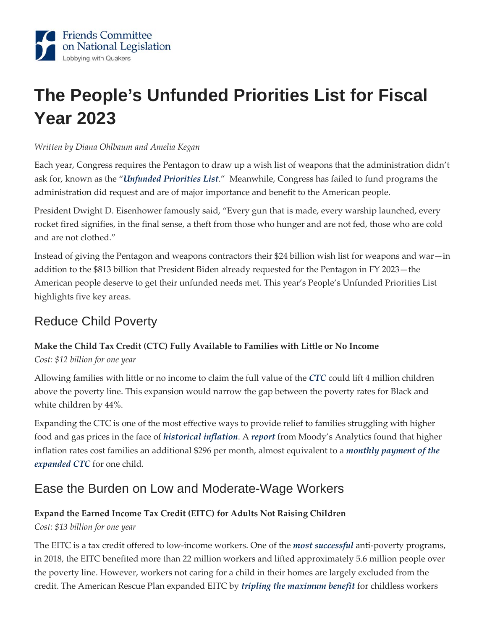

# **The People's Unfunded Priorities List for Fiscal Year 2023**

#### *Written by Diana Ohlbaum and Amelia Kegan*

Each year, Congress requires the Pentagon to draw up a wish list of weapons that the administration didn't ask for, known as the "*[Unfunded Priorities List](https://rollcall.com/2022/04/06/military-brass-undercuts-biden-budget-by-requesting-billions-more/)*." Meanwhile, Congress has failed to fund programs the administration did request and are of major importance and benefit to the American people.

President Dwight D. Eisenhower famously said, "Every gun that is made, every warship launched, every rocket fired signifies, in the final sense, a theft from those who hunger and are not fed, those who are cold and are not clothed."

Instead of giving the Pentagon and weapons contractors their \$24 billion wish list for weapons and war—in addition to the \$813 billion that President Biden already requested for the Pentagon in FY 2023—the American people deserve to get their unfunded needs met. This year's People's Unfunded Priorities List highlights five key areas.

### Reduce Child Poverty

### **Make the Child Tax Credit (CTC) Fully Available to Families with Little or No Income**

*Cost: \$12 billion for one year* 

Allowing families with little or no income to claim the full value of the *[CTC](https://www.cbpp.org/blog/build-back-better-reduces-racial-disparities)* could lift 4 million children above the poverty line. This expansion would narrow the gap between the poverty rates for Black and white children by 44%.

Expanding the CTC is one of the most effective ways to provide relief to families struggling with higher food and gas prices in the face of *[historical inflation](https://www.moodysanalytics.com/-/media/article/2022/weekly-market-outlook-maybe-us-consumers-wont-turn-fuelish.pdf)*. A *[report](https://www.moodysanalytics.com/-/media/article/2022/weekly-market-outlook-maybe-us-consumers-wont-turn-fuelish.pdf)* from Moody's Analytics found that higher inflation rates cost families an additional \$296 per month, almost equivalent to a *[monthly payment of the](https://www.abccoalition.org/wp-content/uploads/2022/04/ABC-Coalition-Letter-No-Tax-Breaks-for-Corps-Without-Tax-Breaks-for-Families-Facing-Inflation.pdf)  [expanded CTC](https://www.abccoalition.org/wp-content/uploads/2022/04/ABC-Coalition-Letter-No-Tax-Breaks-for-Corps-Without-Tax-Breaks-for-Families-Facing-Inflation.pdf)* for one child.

## Ease the Burden on Low and Moderate-Wage Workers

### **Expand the Earned Income Tax Credit (EITC) for Adults Not Raising Children**

#### *Cost: \$13 billion for one year*

The EITC is a tax credit offered to low-income workers. One of the *[most successful](https://www.americanprogress.org/article/expanded-child-tax-credit-lift-millions-children-poverty/)* anti-poverty programs, in 2018, the EITC benefited more than 22 million workers and lifted approximately 5.6 million people over the poverty line. However, workers not caring for a child in their homes are largely excluded from the credit. The American Rescue Plan expanded EITC by *[tripling the maximum benefit](https://www.americanprogress.org/article/expanded-child-tax-credit-lift-millions-children-poverty/)* for childless workers